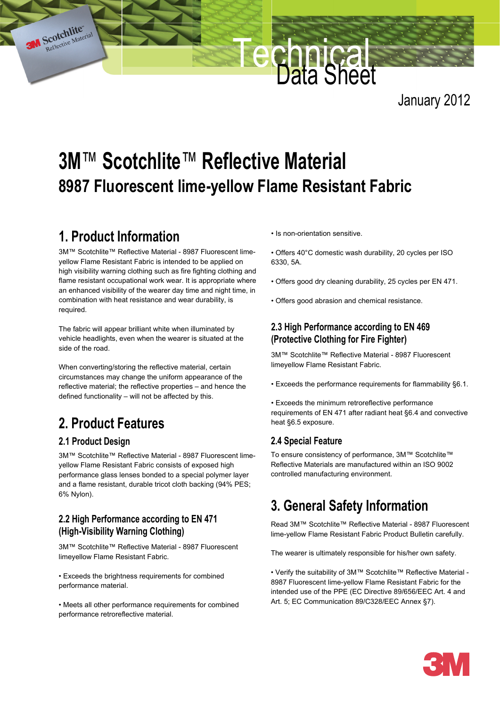January 2012

# **3M**™ **Scotchlite**™ **Reflective Material 8987 Fluorescent lime-yellow Flame Resistant Fabric**

### **1. Product Information**

Scotchlite" Material

3M™ Scotchlite™ Reflective Material - 8987 Fluorescent limeyellow Flame Resistant Fabric is intended to be applied on high visibility warning clothing such as fire fighting clothing and flame resistant occupational work wear. It is appropriate where an enhanced visibility of the wearer day time and night time, in combination with heat resistance and wear durability, is required.

The fabric will appear brilliant white when illuminated by vehicle headlights, even when the wearer is situated at the side of the road.

When converting/storing the reflective material, certain circumstances may change the uniform appearance of the reflective material; the reflective properties – and hence the defined functionality – will not be affected by this.

## **2. Product Features**

### **2.1 Product Design**

3M™ Scotchlite™ Reflective Material - 8987 Fluorescent limeyellow Flame Resistant Fabric consists of exposed high performance glass lenses bonded to a special polymer layer and a flame resistant, durable tricot cloth backing (94% PES; 6% Nylon).

### **2.2 High Performance according to EN 471 (High-Visibility Warning Clothing)**

3M™ Scotchlite™ Reflective Material - 8987 Fluorescent limeyellow Flame Resistant Fabric.

• Exceeds the brightness requirements for combined performance material.

• Meets all other performance requirements for combined performance retroreflective material.

• Is non-orientation sensitive.

**Technical** 

Data Sheet

- Offers 40°C domestic wash durability, 20 cycles per ISO 6330, 5A.
- Offers good dry cleaning durability, 25 cycles per EN 471.
- Offers good abrasion and chemical resistance.

### **2.3 High Performance according to EN 469 (Protective Clothing for Fire Fighter)**

3M™ Scotchlite™ Reflective Material - 8987 Fluorescent limeyellow Flame Resistant Fabric.

• Exceeds the performance requirements for flammability §6.1.

• Exceeds the minimum retroreflective performance requirements of EN 471 after radiant heat §6.4 and convective heat §6.5 exposure.

### **2.4 Special Feature**

To ensure consistency of performance, 3M™ Scotchlite™ Reflective Materials are manufactured within an ISO 9002 controlled manufacturing environment.

### **3. General Safety Information**

Read 3M™ Scotchlite™ Reflective Material - 8987 Fluorescent lime-yellow Flame Resistant Fabric Product Bulletin carefully.

The wearer is ultimately responsible for his/her own safety.

• Verify the suitability of 3M™ Scotchlite™ Reflective Material - 8987 Fluorescent lime-yellow Flame Resistant Fabric for the intended use of the PPE (EC Directive 89/656/EEC Art. 4 and Art. 5; EC Communication 89/C328/EEC Annex §7).

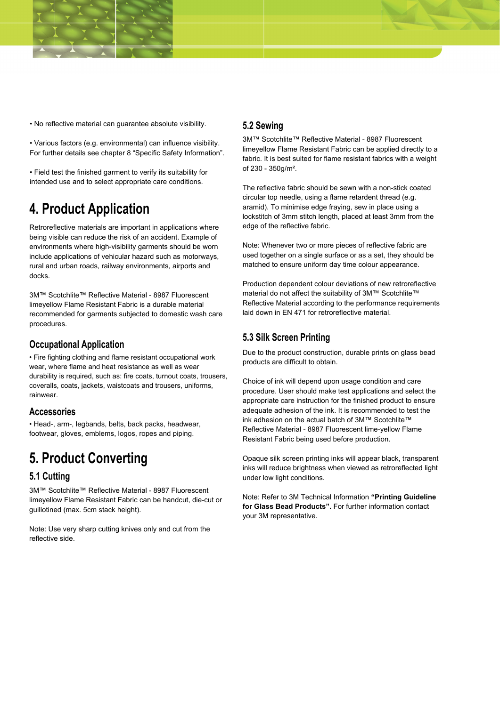

• No reflective material can guarantee absolute visibility.

• Various factors (e.g. environmental) can influence visibility. For further details see chapter 8 "Specific Safety Information".

• Field test the finished garment to verify its suitability for intended use and to select appropriate care conditions.

### **4. Product Application**

Retroreflective materials are important in applications where being visible can reduce the risk of an accident. Example of environments where high-visibility garments should be worn include applications of vehicular hazard such as motorways, rural and urban roads, railway environments, airports and docks.

3M™ Scotchlite™ Reflective Material - 8987 Fluorescent limeyellow Flame Resistant Fabric is a durable material recommended for garments subjected to domestic wash care procedures.

### **Occupational Application**

• Fire fighting clothing and flame resistant occupational work wear, where flame and heat resistance as well as wear durability is required, such as: fire coats, turnout coats, trousers, coveralls, coats, jackets, waistcoats and trousers, uniforms, rainwear.

#### **Accessories**

• Head-, arm-, legbands, belts, back packs, headwear, footwear, gloves, emblems, logos, ropes and piping.

### **5. Product Converting**

### **5.1 Cutting**

3M™ Scotchlite™ Reflective Material - 8987 Fluorescent limeyellow Flame Resistant Fabric can be handcut, die-cut or guillotined (max. 5cm stack height).

Note: Use very sharp cutting knives only and cut from the reflective side.

### **5.2 Sewing**

3M™ Scotchlite™ Reflective Material - 8987 Fluorescent limeyellow Flame Resistant Fabric can be applied directly to a fabric. It is best suited for flame resistant fabrics with a weight of 230 - 350g/m².

The reflective fabric should be sewn with a non-stick coated circular top needle, using a flame retardent thread (e.g. aramid). To minimise edge fraying, sew in place using a lockstitch of 3mm stitch length, placed at least 3mm from the edge of the reflective fabric.

Note: Whenever two or more pieces of reflective fabric are used together on a single surface or as a set, they should be matched to ensure uniform day time colour appearance.

Production dependent colour deviations of new retroreflective material do not affect the suitability of 3M™ Scotchlite™ Reflective Material according to the performance requirements laid down in EN 471 for retroreflective material.

### **5.3 Silk Screen Printing**

Due to the product construction, durable prints on glass bead products are difficult to obtain.

Choice of ink will depend upon usage condition and care procedure. User should make test applications and select the appropriate care instruction for the finished product to ensure adequate adhesion of the ink. It is recommended to test the ink adhesion on the actual batch of 3M™ Scotchlite™ Reflective Material - 8987 Fluorescent lime-yellow Flame Resistant Fabric being used before production.

Opaque silk screen printing inks will appear black, transparent inks will reduce brightness when viewed as retroreflected light under low light conditions.

Note: Refer to 3M Technical Information **"Printing Guideline for Glass Bead Products".** For further information contact your 3M representative.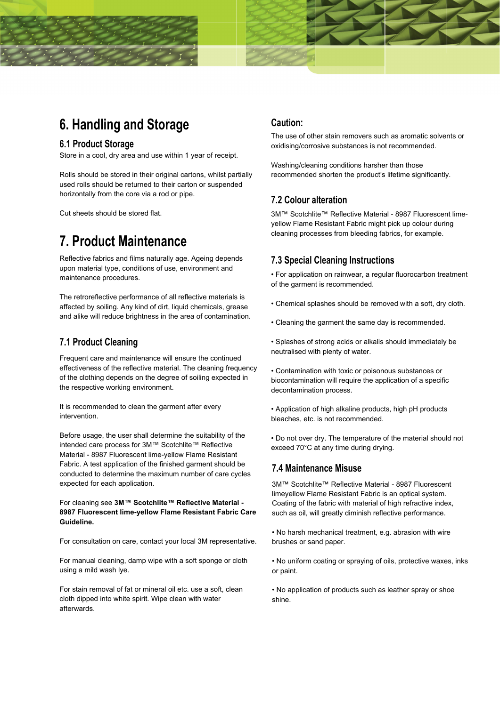### **6. Handling and Storage**

#### **6.1 Product Storage**

Store in a cool, dry area and use within 1 year of receipt.

Rolls should be stored in their original cartons, whilst partially used rolls should be returned to their carton or suspended horizontally from the core via a rod or pipe.

Cut sheets should be stored flat.

### **7. Product Maintenance**

Reflective fabrics and films naturally age. Ageing depends upon material type, conditions of use, environment and maintenance procedures.

The retroreflective performance of all reflective materials is affected by soiling. Any kind of dirt, liquid chemicals, grease and alike will reduce brightness in the area of contamination.

### **7.1 Product Cleaning**

Frequent care and maintenance will ensure the continued effectiveness of the reflective material. The cleaning frequency of the clothing depends on the degree of soiling expected in the respective working environment.

It is recommended to clean the garment after every intervention.

Before usage, the user shall determine the suitability of the intended care process for 3M™ Scotchlite™ Reflective Material - 8987 Fluorescent lime-yellow Flame Resistant Fabric. A test application of the finished garment should be conducted to determine the maximum number of care cycles expected for each application.

#### For cleaning see **3M™ Scotchlite™ Reflective Material - 8987 Fluorescent lime-yellow Flame Resistant Fabric Care Guideline.**

For consultation on care, contact your local 3M representative.

For manual cleaning, damp wipe with a soft sponge or cloth using a mild wash lye.

For stain removal of fat or mineral oil etc. use a soft, clean cloth dipped into white spirit. Wipe clean with water afterwards.

### **Caution:**

The use of other stain removers such as aromatic solvents or oxidising/corrosive substances is not recommended.

Washing/cleaning conditions harsher than those recommended shorten the product's lifetime significantly.

### **7.2 Colour alteration**

3M™ Scotchlite™ Reflective Material - 8987 Fluorescent limeyellow Flame Resistant Fabric might pick up colour during cleaning processes from bleeding fabrics, for example.

#### **7.3 Special Cleaning Instructions**

• For application on rainwear, a regular fluorocarbon treatment of the garment is recommended.

- Chemical splashes should be removed with a soft, dry cloth.
- Cleaning the garment the same day is recommended.

• Splashes of strong acids or alkalis should immediately be neutralised with plenty of water.

• Contamination with toxic or poisonous substances or biocontamination will require the application of a specific decontamination process.

• Application of high alkaline products, high pH products bleaches, etc. is not recommended.

• Do not over dry. The temperature of the material should not exceed 70°C at any time during drying.

#### **7.4 Maintenance Misuse**

3M™ Scotchlite™ Reflective Material - 8987 Fluorescent limeyellow Flame Resistant Fabric is an optical system. Coating of the fabric with material of high refractive index, such as oil, will greatly diminish reflective performance.

• No harsh mechanical treatment, e.g. abrasion with wire brushes or sand paper.

• No uniform coating or spraying of oils, protective waxes, inks or paint.

• No application of products such as leather spray or shoe shine.